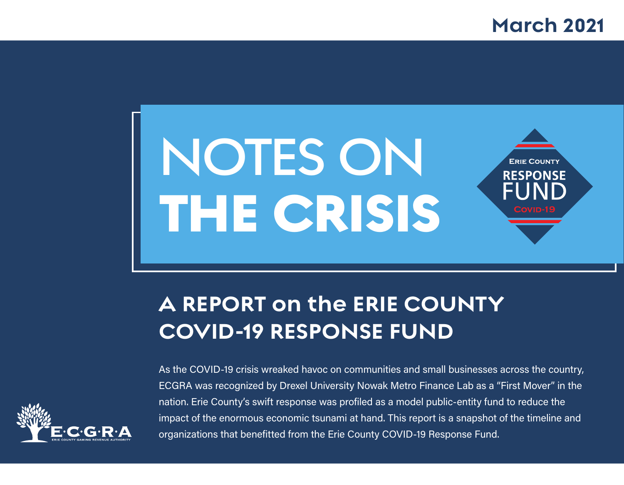### **March 2021**



## **A REPORT on the ERIE COUNTY COVID-19 RESPONSE FUND**



As the COVID-19 crisis wreaked havoc on communities and small businesses across the country, ECGRA was recognized by Drexel University Nowak Metro Finance Lab as a "First Mover" in the nation. Erie County's swift response was profiled as a model public-entity fund to reduce the impact of the enormous economic tsunami at hand. This report is a snapshot of the timeline and organizations that benefitted from the Erie County COVID-19 Response Fund.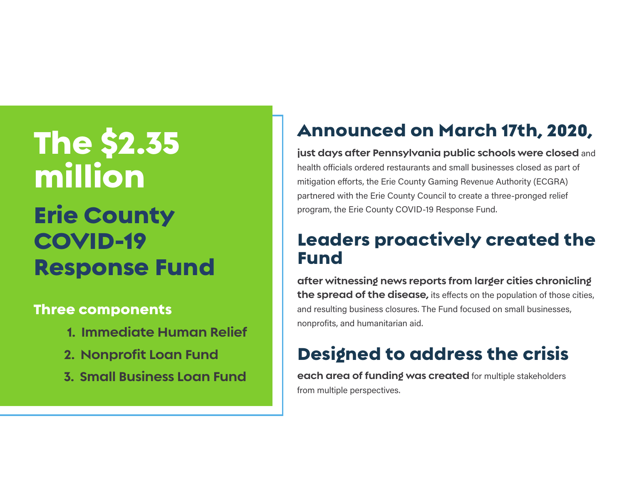## The \$2.35 million Erie County COVID-19 Response Fund

### Three components

- **1. Immediate Human Relief**
- **2. Nonprofit Loan Fund**
- **3. Small Business Loan Fund**

## Announced on March 17th, 2020,

**just days after Pennsylvania public schools were closed** and health officials ordered restaurants and small businesses closed as part of mitigation efforts, the Erie County Gaming Revenue Authority (ECGRA) partnered with the Erie County Council to create a three-pronged relief program, the Erie County COVID-19 Response Fund.

### Leaders proactively created the Fund

**after witnessing news reports from larger cities chronicling the spread of the disease,** its effects on the population of those cities, and resulting business closures. The Fund focused on small businesses, nonprofits, and humanitarian aid.

### Designed to address the crisis

**each area of funding was created** for multiple stakeholders from multiple perspectives.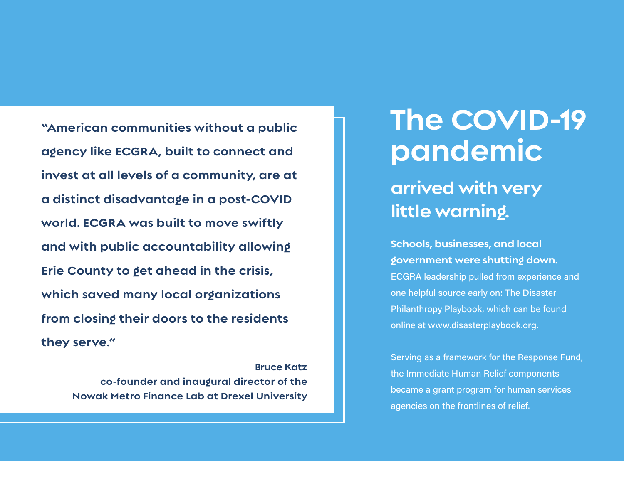**"American communities without a public agency like ECGRA, built to connect and invest at all levels of a community, are at a distinct disadvantage in a post-COVID world. ECGRA was built to move swiftly and with public accountability allowing Erie County to get ahead in the crisis, which saved many local organizations from closing their doors to the residents they serve."** 

> **Bruce Katz co-founder and inaugural director of the Nowak Metro Finance Lab at Drexel University**

## **The COVID-19 pandemic**

### **arrived with very little warning.**

**Schools, businesses, and local government were shutting down.** ECGRA leadership pulled from experience and one helpful source early on: The Disaster Philanthropy Playbook, which can be found online at www.disasterplaybook.org.

Serving as a framework for the Response Fund, the Immediate Human Relief components became a grant program for human services agencies on the frontlines of relief.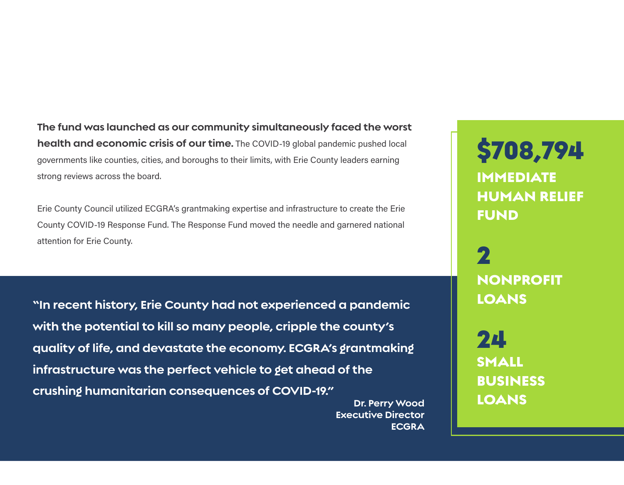**The fund was launched as our community simultaneously faced the worst health and economic crisis of our time.** The COVID-19 global pandemic pushed local governments like counties, cities, and boroughs to their limits, with Erie County leaders earning strong reviews across the board.

Erie County Council utilized ECGRA's grantmaking expertise and infrastructure to create the Erie County COVID-19 Response Fund. The Response Fund moved the needle and garnered national attention for Erie County.

**"In recent history, Erie County had not experienced a pandemic with the potential to kill so many people, cripple the county's quality of life, and devastate the economy. ECGRA's grantmaking infrastructure was the perfect vehicle to get ahead of the crushing humanitarian consequences of COVID-19."**

> **Dr. Perry Wood Executive Director ECGRA**

\$708,794 IMMEDIATE HUMAN RELIEF FUND

2 NONPROFIT LOANS

24 SMALL BUSINESS LOANS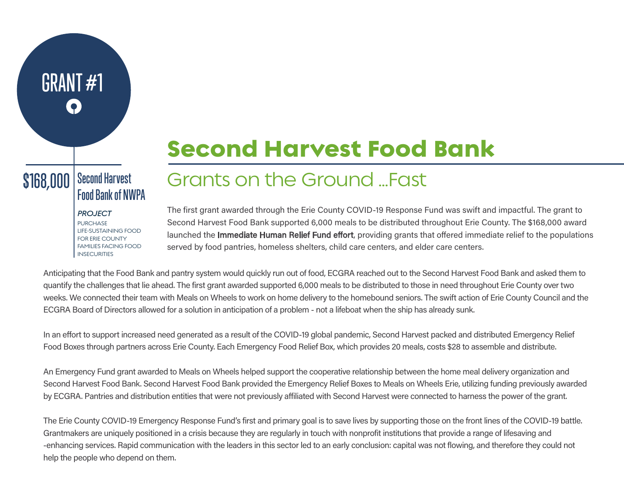## Second Harvest Food Bank

### Second Harvest  $$168,000$   $|$  Second Harvest<br>Food Bank of NWPA

GRANT #1

*PROJECT* **PURCHASE** LIFE-SUSTAINING FOOD FOR ERIE COUNTY FAMILIES FACING FOOD **INSECURITIES** 

## Grants on the Ground …Fast

The first grant awarded through the Erie County COVID-19 Response Fund was swift and impactful. The grant to Second Harvest Food Bank supported 6,000 meals to be distributed throughout Erie County. The \$168,000 award launched the **Immediate Human Relief Fund effort**, providing grants that offered immediate relief to the populations served by food pantries, homeless shelters, child care centers, and elder care centers.

Anticipating that the Food Bank and pantry system would quickly run out of food, ECGRA reached out to the Second Harvest Food Bank and asked them to quantify the challenges that lie ahead. The first grant awarded supported 6,000 meals to be distributed to those in need throughout Erie County over two weeks. We connected their team with Meals on Wheels to work on home delivery to the homebound seniors. The swift action of Erie County Council and the ECGRA Board of Directors allowed for a solution in anticipation of a problem - not a lifeboat when the ship has already sunk.

In an effort to support increased need generated as a result of the COVID-19 global pandemic, Second Harvest packed and distributed Emergency Relief Food Boxes through partners across Erie County. Each Emergency Food Relief Box, which provides 20 meals, costs \$28 to assemble and distribute.

An Emergency Fund grant awarded to Meals on Wheels helped support the cooperative relationship between the home meal delivery organization and Second Harvest Food Bank. Second Harvest Food Bank provided the Emergency Relief Boxes to Meals on Wheels Erie, utilizing funding previously awarded by ECGRA. Pantries and distribution entities that were not previously affiliated with Second Harvest were connected to harness the power of the grant.

The Erie County COVID-19 Emergency Response Fund's first and primary goal is to save lives by supporting those on the front lines of the COVID-19 battle. Grantmakers are uniquely positioned in a crisis because they are regularly in touch with nonprofit institutions that provide a range of lifesaving and -enhancing services. Rapid communication with the leaders in this sector led to an early conclusion: capital was not flowing, and therefore they could not help the people who depend on them.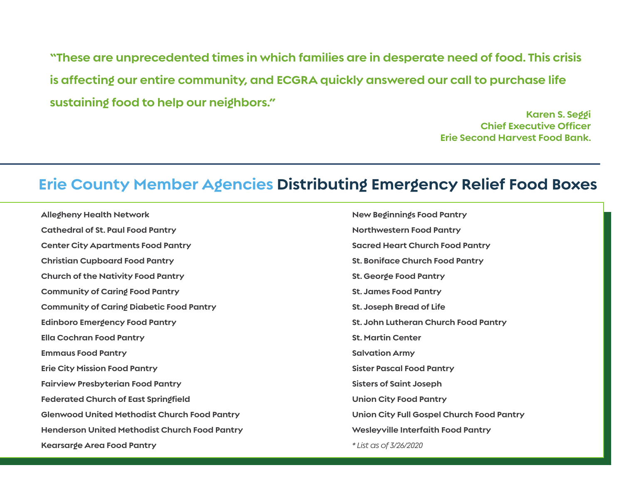**"These are unprecedented times in which families are in desperate need of food. This crisis is affecting our entire community, and ECGRA quickly answered our call to purchase life sustaining food to help our neighbors."**

> **Karen S. Seggi Chief Executive Officer Erie Second Harvest Food Bank.**

### **Erie County Member Agencies Distributing Emergency Relief Food Boxes**

| <b>Allegheny Health Network</b>                      | <b>New Beginnings Food Pantry</b>         |
|------------------------------------------------------|-------------------------------------------|
| <b>Cathedral of St. Paul Food Pantry</b>             | <b>Northwestern Food Pantry</b>           |
| <b>Center City Apartments Food Pantry</b>            | <b>Sacred Heart Church Food Pantry</b>    |
| <b>Christian Cupboard Food Pantry</b>                | <b>St. Boniface Church Food Pantry</b>    |
| <b>Church of the Nativity Food Pantry</b>            | St. George Food Pantry                    |
| <b>Community of Caring Food Pantry</b>               | <b>St. James Food Pantry</b>              |
| <b>Community of Caring Diabetic Food Pantry</b>      | <b>St. Joseph Bread of Life</b>           |
| <b>Edinboro Emergency Food Pantry</b>                | St. John Lutheran Church Food Pantry      |
| <b>Ella Cochran Food Pantry</b>                      | <b>St. Martin Center</b>                  |
| <b>Emmaus Food Pantry</b>                            | <b>Salvation Army</b>                     |
| <b>Erie City Mission Food Pantry</b>                 | <b>Sister Pascal Food Pantry</b>          |
| <b>Fairview Presbyterian Food Pantry</b>             | <b>Sisters of Saint Joseph</b>            |
| <b>Federated Church of East Springfield</b>          | <b>Union City Food Pantry</b>             |
| <b>Glenwood United Methodist Church Food Pantry</b>  | Union City Full Gospel Church Food Pantry |
| <b>Henderson United Methodist Church Food Pantry</b> | Wesleyville Interfaith Food Pantry        |
| <b>Kearsarge Area Food Pantry</b>                    | * List as of 3/26/2020                    |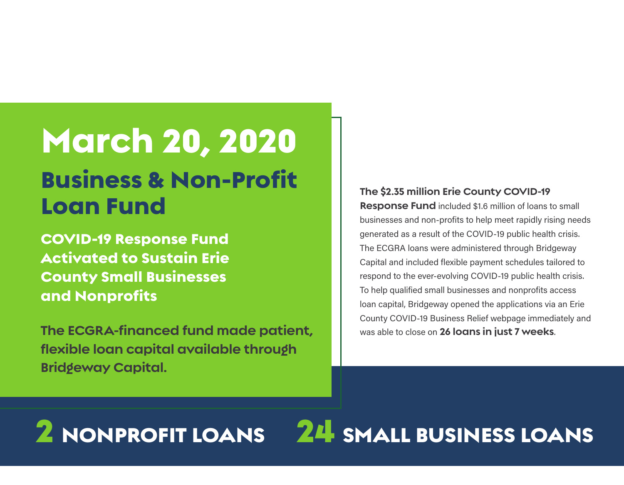## March 20, 2020 Business & Non-Profit Loan Fund

COVID-19 Response Fund Activated to Sustain Erie County Small Businesses and Nonprofits

**The ECGRA-financed fund made patient, flexible loan capital available through Bridgeway Capital.** 

#### **The \$2.35 million Erie County COVID-19**

**Response Fund** included \$1.6 million of loans to small businesses and non-profits to help meet rapidly rising needs generated as a result of the COVID-19 public health crisis. The ECGRA loans were administered through Bridgeway Capital and included flexible payment schedules tailored to respond to the ever-evolving COVID-19 public health crisis. To help qualified small businesses and nonprofits access loan capital, Bridgeway opened the applications via an Erie County COVID-19 Business Relief webpage immediately and was able to close on **26 loans in just 7 weeks**.

# 2 NONPROFIT LOANS 24 SMALL BUSINESS LOANS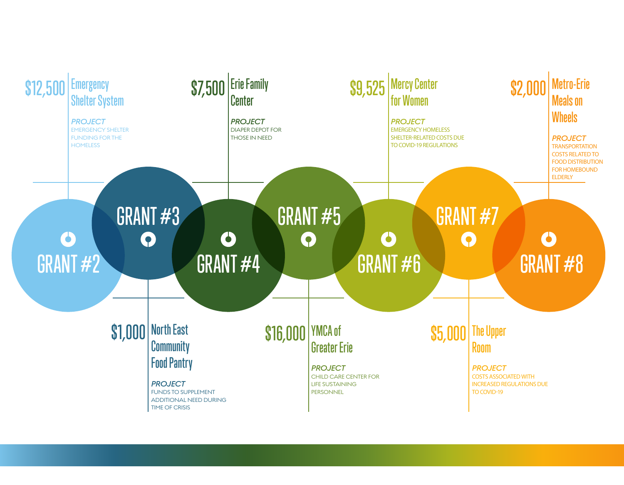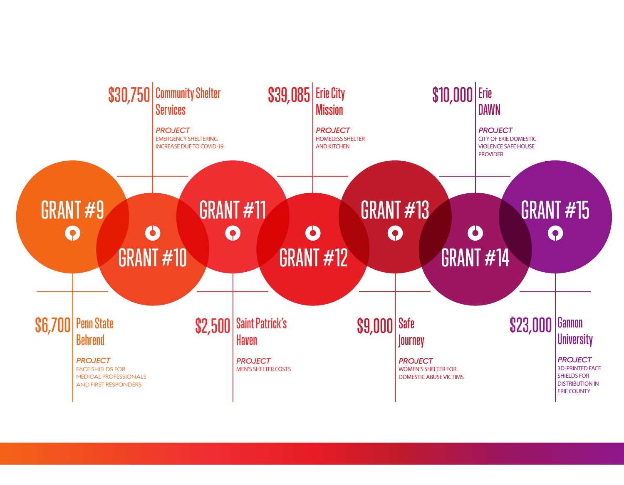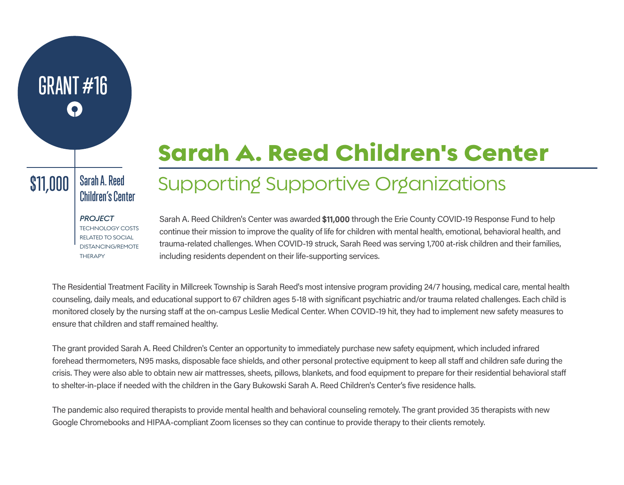## Sarah A. Reed Children's Center

#### Sarah A. Reed  $\left|\frac{\mathsf{11,000}}{\mathsf{Children's Center}}\right|$

GRANT #16

## Supporting Supportive Organizations

*PROJECT* TECHNOLOGY COSTS RELATED TO SOCIAL DISTANCING/REMOTE **THERAPY** 

Sarah A. Reed Children's Center was awarded \$11,000 through the Erie County COVID-19 Response Fund to help continue their mission to improve the quality of life for children with mental health, emotional, behavioral health, and trauma-related challenges. When COVID-19 struck, Sarah Reed was serving 1,700 at-risk children and their families, including residents dependent on their life-supporting services.

The Residential Treatment Facility in Millcreek Township is Sarah Reed's most intensive program providing 24/7 housing, medical care, mental health counseling, daily meals, and educational support to 67 children ages 5-18 with significant psychiatric and/or trauma related challenges. Each child is monitored closely by the nursing staff at the on-campus Leslie Medical Center. When COVID-19 hit, they had to implement new safety measures to ensure that children and staff remained healthy.

The grant provided Sarah A. Reed Children's Center an opportunity to immediately purchase new safety equipment, which included infrared forehead thermometers, N95 masks, disposable face shields, and other personal protective equipment to keep all staff and children safe during the crisis. They were also able to obtain new air mattresses, sheets, pillows, blankets, and food equipment to prepare for their residential behavioral sta to shelter-in-place if needed with the children in the Gary Bukowski Sarah A. Reed Children's Center's five residence halls.

The pandemic also required therapists to provide mental health and behavioral counseling remotely. The grant provided 35 therapists with new Google Chromebooks and HIPAA-compliant Zoom licenses so they can continue to provide therapy to their clients remotely.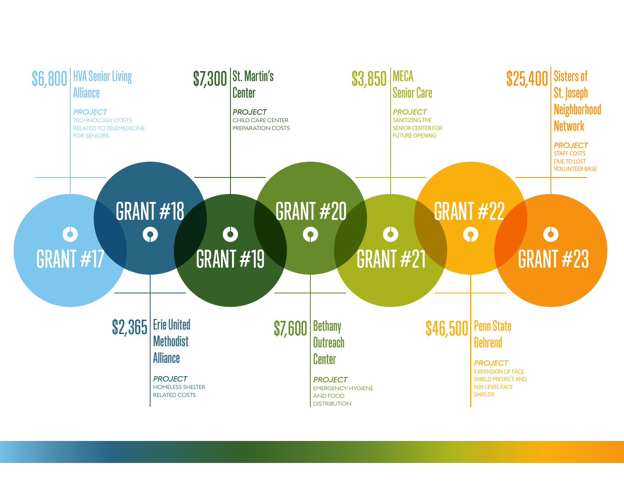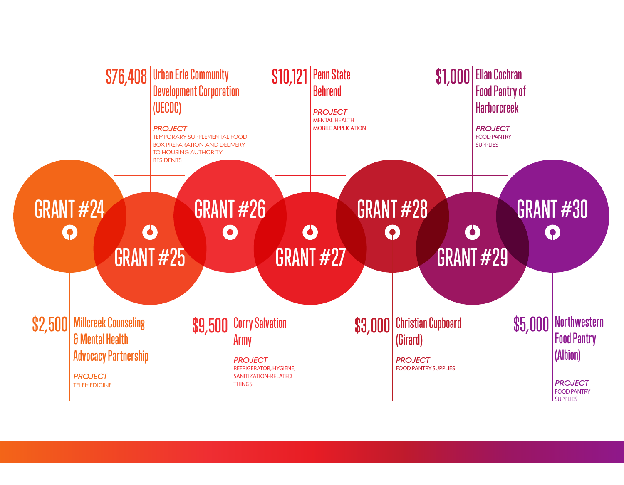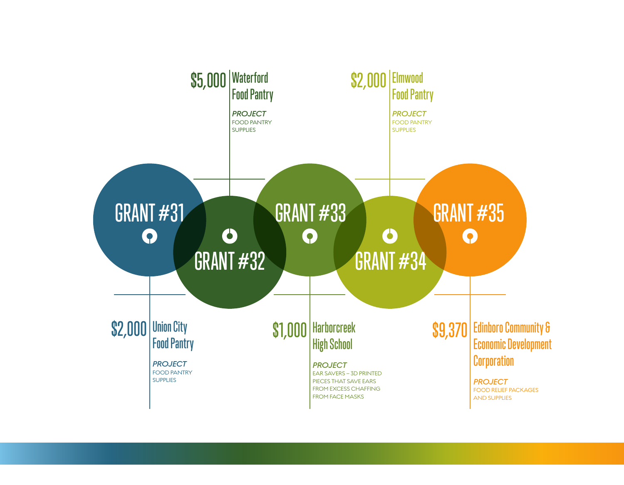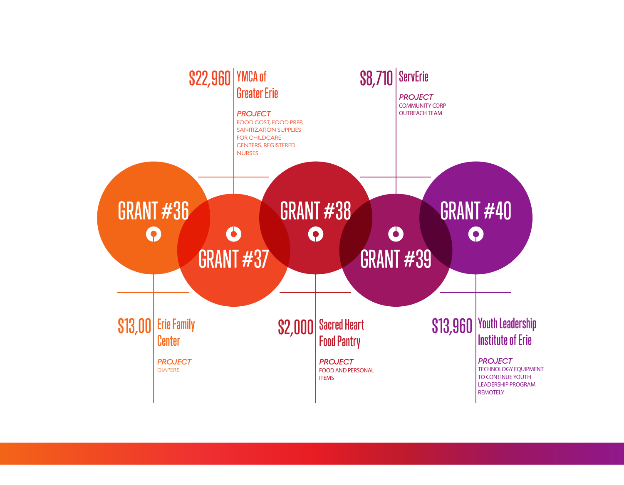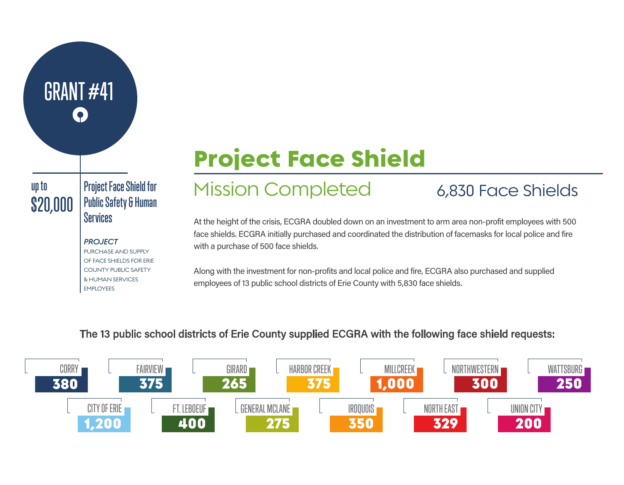# GRANT #41

### Project Face Shield for Public Safety & Human  $\left| \frac{\$20,000}{\$8\} \right|$   $\frac{\$20,000}{\$8\}$

#### *PROJECT*

PURCHASE AND SUPPLY OF FACE SHIELDS FOR ERIE COUNTY PUBLIC SAFETY & HUMAN SERVICES EMPLOYEES

## Project Face Shield

## up to Project Face Shield for Mission Completed 6,830 Face Shields

At the height of the crisis, ECGRA doubled down on an investment to arm area non-profit employees with 500 face shields. ECGRA initially purchased and coordinated the distribution of facemasks for local police and fire with a purchase of 500 face shields.

Along with the investment for non-profits and local police and fire, ECGRA also purchased and supplied employees of 13 public school districts of Erie County with 5,830 face shields.

#### The 13 public school districts of Erie County supplied ECGRA with the following face shield requests: